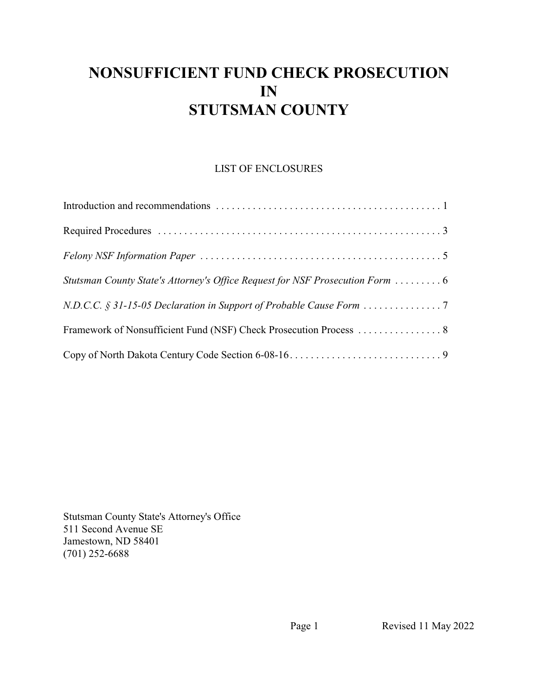# **NONSUFFICIENT FUND CHECK PROSECUTION IN STUTSMAN COUNTY**

## LIST OF ENCLOSURES

| Stutsman County State's Attorney's Office Request for NSF Prosecution Form |  |
|----------------------------------------------------------------------------|--|
|                                                                            |  |
|                                                                            |  |
|                                                                            |  |

Stutsman County State's Attorney's Office 511 Second Avenue SE Jamestown, ND 58401 (701) 252-6688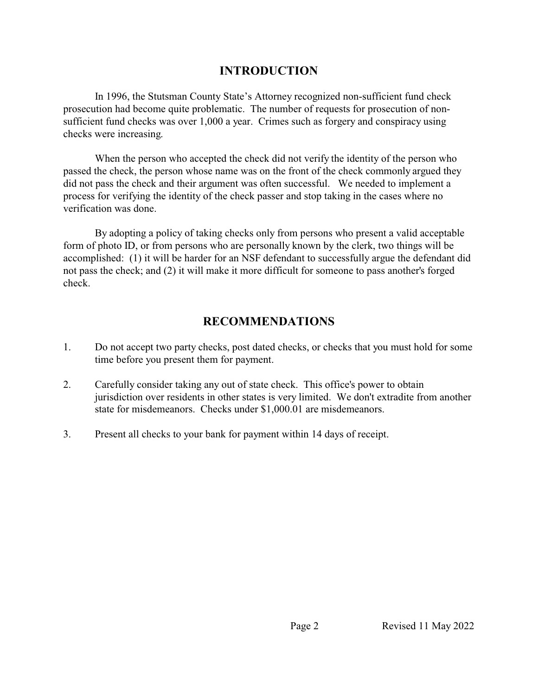## **INTRODUCTION**

In 1996, the Stutsman County State's Attorney recognized non-sufficient fund check prosecution had become quite problematic. The number of requests for prosecution of nonsufficient fund checks was over 1,000 a year. Crimes such as forgery and conspiracy using checks were increasing.

When the person who accepted the check did not verify the identity of the person who passed the check, the person whose name was on the front of the check commonly argued they did not pass the check and their argument was often successful. We needed to implement a process for verifying the identity of the check passer and stop taking in the cases where no verification was done.

By adopting a policy of taking checks only from persons who present a valid acceptable form of photo ID, or from persons who are personally known by the clerk, two things will be accomplished: (1) it will be harder for an NSF defendant to successfully argue the defendant did not pass the check; and (2) it will make it more difficult for someone to pass another's forged check.

## **RECOMMENDATIONS**

- 1. Do not accept two party checks, post dated checks, or checks that you must hold for some time before you present them for payment.
- 2. Carefully consider taking any out of state check. This office's power to obtain jurisdiction over residents in other states is very limited. We don't extradite from another state for misdemeanors. Checks under \$1,000.01 are misdemeanors.
- 3. Present all checks to your bank for payment within 14 days of receipt.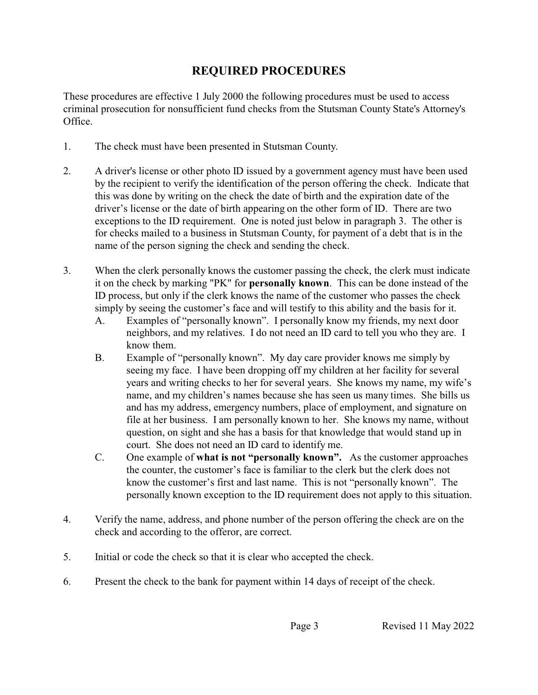# **REQUIRED PROCEDURES**

These procedures are effective 1 July 2000 the following procedures must be used to access criminal prosecution for nonsufficient fund checks from the Stutsman County State's Attorney's Office.

- 1. The check must have been presented in Stutsman County.
- 2. A driver's license or other photo ID issued by a government agency must have been used by the recipient to verify the identification of the person offering the check. Indicate that this was done by writing on the check the date of birth and the expiration date of the driver's license or the date of birth appearing on the other form of ID. There are two exceptions to the ID requirement. One is noted just below in paragraph 3. The other is for checks mailed to a business in Stutsman County, for payment of a debt that is in the name of the person signing the check and sending the check.
- 3. When the clerk personally knows the customer passing the check, the clerk must indicate it on the check by marking "PK" for **personally known**. This can be done instead of the ID process, but only if the clerk knows the name of the customer who passes the check simply by seeing the customer's face and will testify to this ability and the basis for it.
	- A. Examples of "personally known". I personally know my friends, my next door neighbors, and my relatives. I do not need an ID card to tell you who they are. I know them.
	- B. Example of "personally known". My day care provider knows me simply by seeing my face. I have been dropping off my children at her facility for several years and writing checks to her for several years. She knows my name, my wife's name, and my children's names because she has seen us many times. She bills us and has my address, emergency numbers, place of employment, and signature on file at her business. I am personally known to her. She knows my name, without question, on sight and she has a basis for that knowledge that would stand up in court. She does not need an ID card to identify me.
	- C. One example of **what is not "personally known".** As the customer approaches the counter, the customer's face is familiar to the clerk but the clerk does not know the customer's first and last name. This is not "personally known". The personally known exception to the ID requirement does not apply to this situation.
- 4. Verify the name, address, and phone number of the person offering the check are on the check and according to the offeror, are correct.
- 5. Initial or code the check so that it is clear who accepted the check.
- 6. Present the check to the bank for payment within 14 days of receipt of the check.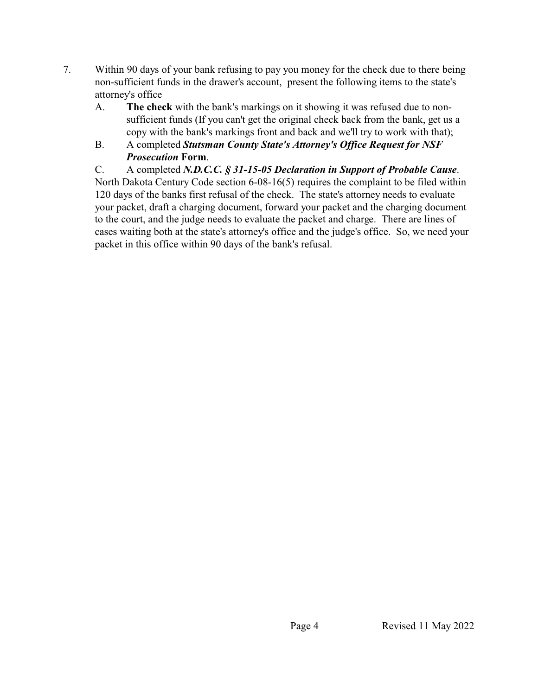- 7. Within 90 days of your bank refusing to pay you money for the check due to there being non-sufficient funds in the drawer's account, present the following items to the state's attorney's office
	- A. **The check** with the bank's markings on it showing it was refused due to nonsufficient funds (If you can't get the original check back from the bank, get us a copy with the bank's markings front and back and we'll try to work with that);
	- B. A completed *Stutsman County State's Attorney's Office Request for NSF Prosecution* **Form**.

C. A completed *N.D.C.C. § 31-15-05 Declaration in Support of Probable Cause*. North Dakota Century Code section 6-08-16(5) requires the complaint to be filed within 120 days of the banks first refusal of the check. The state's attorney needs to evaluate your packet, draft a charging document, forward your packet and the charging document to the court, and the judge needs to evaluate the packet and charge. There are lines of cases waiting both at the state's attorney's office and the judge's office. So, we need your packet in this office within 90 days of the bank's refusal.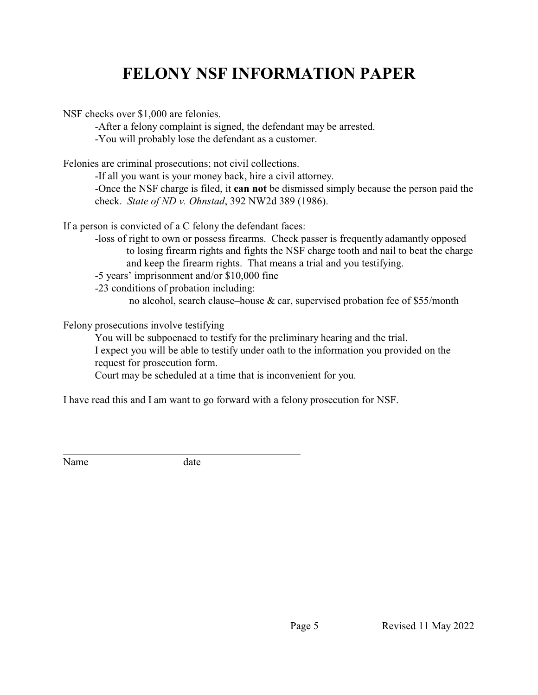# **FELONY NSF INFORMATION PAPER**

NSF checks over \$1,000 are felonies.

-After a felony complaint is signed, the defendant may be arrested.

-You will probably lose the defendant as a customer.

Felonies are criminal prosecutions; not civil collections.

-If all you want is your money back, hire a civil attorney.

-Once the NSF charge is filed, it **can not** be dismissed simply because the person paid the check. *State of ND v. Ohnstad*, 392 NW2d 389 (1986).

If a person is convicted of a C felony the defendant faces:

- -loss of right to own or possess firearms. Check passer is frequently adamantly opposed to losing firearm rights and fights the NSF charge tooth and nail to beat the charge and keep the firearm rights. That means a trial and you testifying.
- -5 years' imprisonment and/or \$10,000 fine

-23 conditions of probation including:

no alcohol, search clause–house & car, supervised probation fee of \$55/month

Felony prosecutions involve testifying

You will be subpoenaed to testify for the preliminary hearing and the trial. I expect you will be able to testify under oath to the information you provided on the request for prosecution form.

Court may be scheduled at a time that is inconvenient for you.

I have read this and I am want to go forward with a felony prosecution for NSF.

\_\_\_\_\_\_\_\_\_\_\_\_\_\_\_\_\_\_\_\_\_\_\_\_\_\_\_\_\_\_\_\_\_\_\_\_\_\_\_\_\_\_\_\_\_ Name date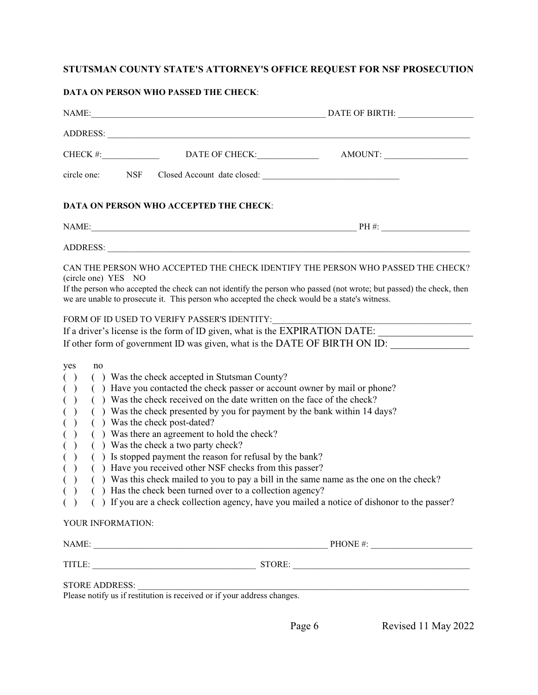## **STUTSMAN COUNTY STATE'S ATTORNEY'S OFFICE REQUEST FOR NSF PROSECUTION**

#### **DATA ON PERSON WHO PASSED THE CHECK**:

|                                                                                                       | $CHECK$ #:          | DATE OF CHECK:                                                                                                                                                                                                                                                                                                                                                                                                                                                                                                                                                                                 | AMOUNT:                                                                                                                                                                                                                                                                                                                                                             |  |  |
|-------------------------------------------------------------------------------------------------------|---------------------|------------------------------------------------------------------------------------------------------------------------------------------------------------------------------------------------------------------------------------------------------------------------------------------------------------------------------------------------------------------------------------------------------------------------------------------------------------------------------------------------------------------------------------------------------------------------------------------------|---------------------------------------------------------------------------------------------------------------------------------------------------------------------------------------------------------------------------------------------------------------------------------------------------------------------------------------------------------------------|--|--|
| circle one:                                                                                           | NSF                 |                                                                                                                                                                                                                                                                                                                                                                                                                                                                                                                                                                                                | Closed Account date closed:                                                                                                                                                                                                                                                                                                                                         |  |  |
|                                                                                                       |                     | DATA ON PERSON WHO ACCEPTED THE CHECK:                                                                                                                                                                                                                                                                                                                                                                                                                                                                                                                                                         |                                                                                                                                                                                                                                                                                                                                                                     |  |  |
|                                                                                                       |                     |                                                                                                                                                                                                                                                                                                                                                                                                                                                                                                                                                                                                |                                                                                                                                                                                                                                                                                                                                                                     |  |  |
|                                                                                                       |                     | ADDRESS:                                                                                                                                                                                                                                                                                                                                                                                                                                                                                                                                                                                       |                                                                                                                                                                                                                                                                                                                                                                     |  |  |
|                                                                                                       | (circle one) YES NO | we are unable to prosecute it. This person who accepted the check would be a state's witness.<br>FORM OF ID USED TO VERIFY PASSER'S IDENTITY:                                                                                                                                                                                                                                                                                                                                                                                                                                                  | CAN THE PERSON WHO ACCEPTED THE CHECK IDENTIFY THE PERSON WHO PASSED THE CHECK?<br>If the person who accepted the check can not identify the person who passed (not wrote; but passed) the check, then<br>If a driver's license is the form of ID given, what is the EXPIRATION DATE:<br>If other form of government ID was given, what is the DATE OF BIRTH ON ID: |  |  |
| yes<br>no<br>( )<br>( )<br>$\mathcal{E}$<br>$($ )<br>$\left( \quad \right)$<br>( )<br>( )<br>$\left($ | YOUR INFORMATION:   | () Was the check accepted in Stutsman County?<br>() Have you contacted the check passer or account owner by mail or phone?<br>() Was the check received on the date written on the face of the check?<br>() Was the check presented by you for payment by the bank within 14 days?<br>() Was the check post-dated?<br>() Was there an agreement to hold the check?<br>() Was the check a two party check?<br>() Is stopped payment the reason for refusal by the bank?<br>() Have you received other NSF checks from this passer?<br>() Has the check been turned over to a collection agency? | () Was this check mailed to you to pay a bill in the same name as the one on the check?<br>() () If you are a check collection agency, have you mailed a notice of dishonor to the passer?                                                                                                                                                                          |  |  |
|                                                                                                       |                     |                                                                                                                                                                                                                                                                                                                                                                                                                                                                                                                                                                                                | NAME: $\qquad \qquad$ PHONE #:                                                                                                                                                                                                                                                                                                                                      |  |  |
|                                                                                                       |                     |                                                                                                                                                                                                                                                                                                                                                                                                                                                                                                                                                                                                | TITLE: STORE: STORE: STORE: STORE: STORE: STORE: STORE: STORE: STORE: STORE: STORE: STORE: STORE: STORE: STORE: STORE: STORE: STORE: STORE: STORE: STORE: STORE: STORE: STORE: STORE: STORE: STORE: STORE: STORE: STORE: STORE                                                                                                                                      |  |  |
|                                                                                                       |                     |                                                                                                                                                                                                                                                                                                                                                                                                                                                                                                                                                                                                | STORE ADDRESS:<br>Plasse potificus if restitution is received or if your address changes                                                                                                                                                                                                                                                                            |  |  |

Please notify us if restitution is received or if your address changes.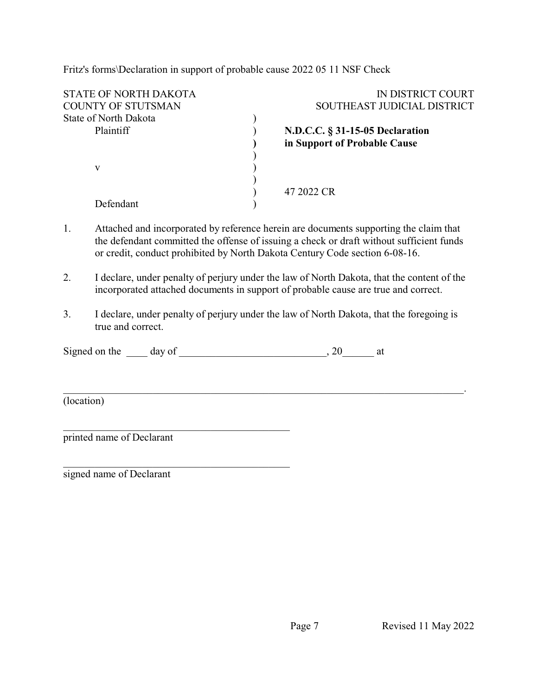Fritz's forms\Declaration in support of probable cause 2022 05 11 NSF Check

| IN DISTRICT COURT               |
|---------------------------------|
| SOUTHEAST JUDICIAL DISTRICT     |
|                                 |
| N.D.C.C. § 31-15-05 Declaration |
| in Support of Probable Cause    |
|                                 |
|                                 |
|                                 |
| 47 2022 CR                      |
|                                 |
|                                 |

- 1. Attached and incorporated by reference herein are documents supporting the claim that the defendant committed the offense of issuing a check or draft without sufficient funds or credit, conduct prohibited by North Dakota Century Code section 6-08-16.
- 2. I declare, under penalty of perjury under the law of North Dakota, that the content of the incorporated attached documents in support of probable cause are true and correct.
- 3. I declare, under penalty of perjury under the law of North Dakota, that the foregoing is true and correct.

\_\_\_\_\_\_\_\_\_\_\_\_\_\_\_\_\_\_\_\_\_\_\_\_\_\_\_\_\_\_\_\_\_\_\_\_\_\_\_\_\_\_\_\_\_\_\_\_\_\_\_\_\_\_\_\_\_\_\_\_\_\_\_\_\_\_\_\_\_\_\_\_\_\_\_\_.

| Signed on the | day of |  |  |
|---------------|--------|--|--|
|---------------|--------|--|--|

(location)

printed name of Declarant

 $\overline{\phantom{a}}$  , and the set of the set of the set of the set of the set of the set of the set of the set of the set of the set of the set of the set of the set of the set of the set of the set of the set of the set of the s

 $\overline{\phantom{a}}$  , and the set of the set of the set of the set of the set of the set of the set of the set of the set of the set of the set of the set of the set of the set of the set of the set of the set of the set of the s

signed name of Declarant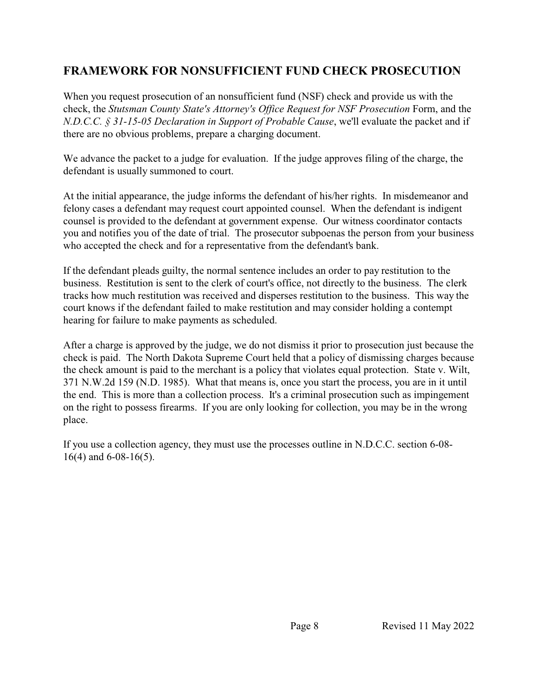# **FRAMEWORK FOR NONSUFFICIENT FUND CHECK PROSECUTION**

When you request prosecution of an nonsufficient fund (NSF) check and provide us with the check, the *Stutsman County State's Attorney's Office Request for NSF Prosecution* Form, and the *N.D.C.C. § 31-15-05 Declaration in Support of Probable Cause*, we'll evaluate the packet and if there are no obvious problems, prepare a charging document.

We advance the packet to a judge for evaluation. If the judge approves filing of the charge, the defendant is usually summoned to court.

At the initial appearance, the judge informs the defendant of his/her rights. In misdemeanor and felony cases a defendant may request court appointed counsel. When the defendant is indigent counsel is provided to the defendant at government expense. Our witness coordinator contacts you and notifies you of the date of trial. The prosecutor subpoenas the person from your business who accepted the check and for a representative from the defendant's bank.

If the defendant pleads guilty, the normal sentence includes an order to pay restitution to the business. Restitution is sent to the clerk of court's office, not directly to the business. The clerk tracks how much restitution was received and disperses restitution to the business. This way the court knows if the defendant failed to make restitution and may consider holding a contempt hearing for failure to make payments as scheduled.

After a charge is approved by the judge, we do not dismiss it prior to prosecution just because the check is paid. The North Dakota Supreme Court held that a policy of dismissing charges because the check amount is paid to the merchant is a policy that violates equal protection. State v. Wilt, 371 N.W.2d 159 (N.D. 1985). What that means is, once you start the process, you are in it until the end. This is more than a collection process. It's a criminal prosecution such as impingement on the right to possess firearms. If you are only looking for collection, you may be in the wrong place.

If you use a collection agency, they must use the processes outline in N.D.C.C. section 6-08- 16(4) and 6-08-16(5).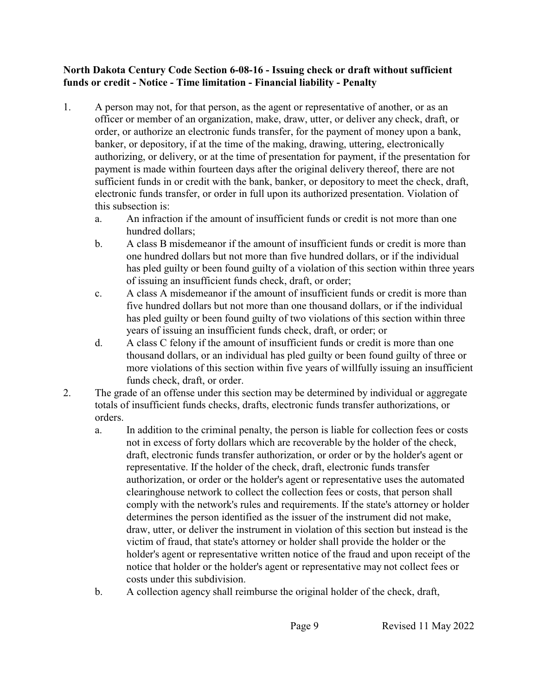#### **North Dakota Century Code Section 6-08-16 - Issuing check or draft without sufficient funds or credit - Notice - Time limitation - Financial liability - Penalty**

- 1. A person may not, for that person, as the agent or representative of another, or as an officer or member of an organization, make, draw, utter, or deliver any check, draft, or order, or authorize an electronic funds transfer, for the payment of money upon a bank, banker, or depository, if at the time of the making, drawing, uttering, electronically authorizing, or delivery, or at the time of presentation for payment, if the presentation for payment is made within fourteen days after the original delivery thereof, there are not sufficient funds in or credit with the bank, banker, or depository to meet the check, draft, electronic funds transfer, or order in full upon its authorized presentation. Violation of this subsection is:
	- a. An infraction if the amount of insufficient funds or credit is not more than one hundred dollars;
	- b. A class B misdemeanor if the amount of insufficient funds or credit is more than one hundred dollars but not more than five hundred dollars, or if the individual has pled guilty or been found guilty of a violation of this section within three years of issuing an insufficient funds check, draft, or order;
	- c. A class A misdemeanor if the amount of insufficient funds or credit is more than five hundred dollars but not more than one thousand dollars, or if the individual has pled guilty or been found guilty of two violations of this section within three years of issuing an insufficient funds check, draft, or order; or
	- d. A class C felony if the amount of insufficient funds or credit is more than one thousand dollars, or an individual has pled guilty or been found guilty of three or more violations of this section within five years of willfully issuing an insufficient funds check, draft, or order.
- 2. The grade of an offense under this section may be determined by individual or aggregate totals of insufficient funds checks, drafts, electronic funds transfer authorizations, or orders.
	- a. In addition to the criminal penalty, the person is liable for collection fees or costs not in excess of forty dollars which are recoverable by the holder of the check, draft, electronic funds transfer authorization, or order or by the holder's agent or representative. If the holder of the check, draft, electronic funds transfer authorization, or order or the holder's agent or representative uses the automated clearinghouse network to collect the collection fees or costs, that person shall comply with the network's rules and requirements. If the state's attorney or holder determines the person identified as the issuer of the instrument did not make, draw, utter, or deliver the instrument in violation of this section but instead is the victim of fraud, that state's attorney or holder shall provide the holder or the holder's agent or representative written notice of the fraud and upon receipt of the notice that holder or the holder's agent or representative may not collect fees or costs under this subdivision.
	- b. A collection agency shall reimburse the original holder of the check, draft,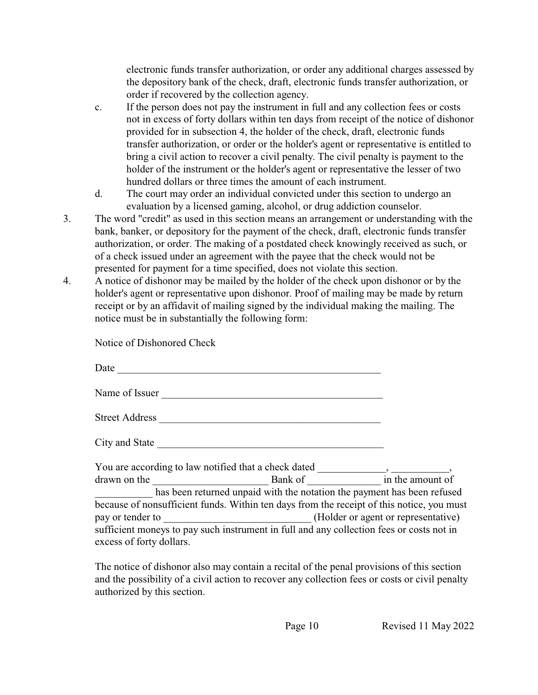electronic funds transfer authorization, or order any additional charges assessed by the depository bank of the check, draft, electronic funds transfer authorization, or order if recovered by the collection agency.

- c. If the person does not pay the instrument in full and any collection fees or costs not in excess of forty dollars within ten days from receipt of the notice of dishonor provided for in subsection 4, the holder of the check, draft, electronic funds transfer authorization, or order or the holder's agent or representative is entitled to bring a civil action to recover a civil penalty. The civil penalty is payment to the holder of the instrument or the holder's agent or representative the lesser of two hundred dollars or three times the amount of each instrument.
- d. The court may order an individual convicted under this section to undergo an evaluation by a licensed gaming, alcohol, or drug addiction counselor.
- 3. The word "credit" as used in this section means an arrangement or understanding with the bank, banker, or depository for the payment of the check, draft, electronic funds transfer authorization, or order. The making of a postdated check knowingly received as such, or of a check issued under an agreement with the payee that the check would not be presented for payment for a time specified, does not violate this section.
- 4. A notice of dishonor may be mailed by the holder of the check upon dishonor or by the holder's agent or representative upon dishonor. Proof of mailing may be made by return receipt or by an affidavit of mailing signed by the individual making the mailing. The notice must be in substantially the following form:

Notice of Dishonored Check

| Date                                                                                                                                                                                                                           |                                                                                           |                                              |
|--------------------------------------------------------------------------------------------------------------------------------------------------------------------------------------------------------------------------------|-------------------------------------------------------------------------------------------|----------------------------------------------|
|                                                                                                                                                                                                                                | Name of Issuer                                                                            |                                              |
| <b>Street Address</b>                                                                                                                                                                                                          |                                                                                           |                                              |
| City and State experience of the state of the state of the state of the state of the state of the state of the                                                                                                                 |                                                                                           |                                              |
|                                                                                                                                                                                                                                |                                                                                           |                                              |
| drawn on the service of the service of the service of the service of the service of the service of the service of the service of the service of the service of the service of the service of the service of the service of the |                                                                                           | Bank of $\overline{\qquad}$ in the amount of |
|                                                                                                                                                                                                                                | has been returned unpaid with the notation the payment has been refused                   |                                              |
|                                                                                                                                                                                                                                | because of nonsufficient funds. Within ten days from the receipt of this notice, you must |                                              |
|                                                                                                                                                                                                                                | pay or tender to _________________________________(Holder or agent or representative)     |                                              |
|                                                                                                                                                                                                                                | sufficient moneys to pay such instrument in full and any collection fees or costs not in  |                                              |
| excess of forty dollars.                                                                                                                                                                                                       |                                                                                           |                                              |

The notice of dishonor also may contain a recital of the penal provisions of this section and the possibility of a civil action to recover any collection fees or costs or civil penalty authorized by this section.